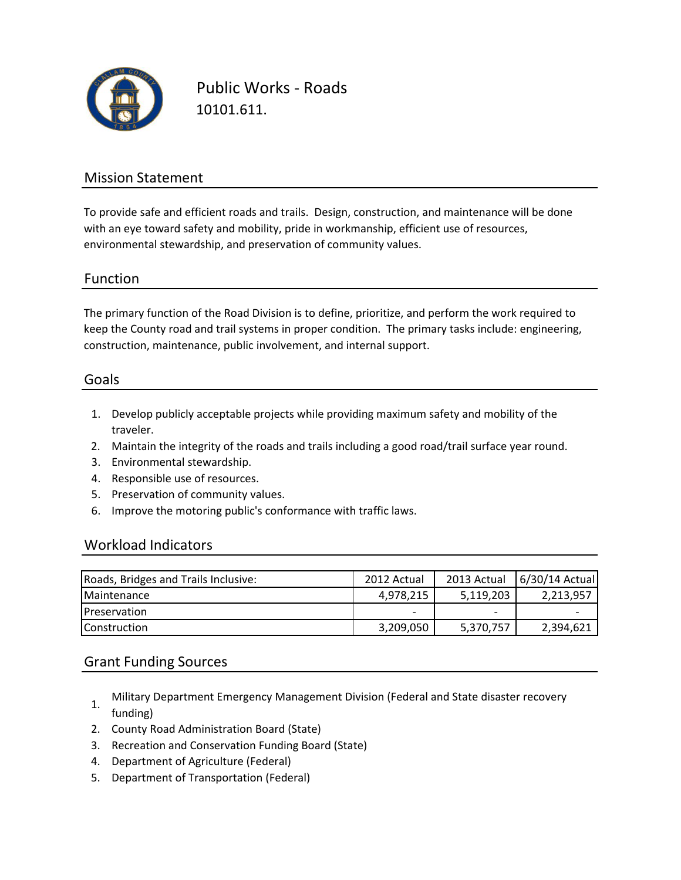

Public Works - Roads 10101.611.

### Mission Statement

To provide safe and efficient roads and trails. Design, construction, and maintenance will be done with an eye toward safety and mobility, pride in workmanship, efficient use of resources, environmental stewardship, and preservation of community values.

### Function

The primary function of the Road Division is to define, prioritize, and perform the work required to keep the County road and trail systems in proper condition. The primary tasks include: engineering, construction, maintenance, public involvement, and internal support.

#### Goals

- 1. Develop publicly acceptable projects while providing maximum safety and mobility of the traveler.
- 2. Maintain the integrity of the roads and trails including a good road/trail surface year round.
- 3. Environmental stewardship.
- 4. Responsible use of resources.
- 5. Preservation of community values.
- 6. Improve the motoring public's conformance with traffic laws.

#### Workload Indicators

| Roads, Bridges and Trails Inclusive: | 2012 Actual | 2013 Actual | 6/30/14 Actual |
|--------------------------------------|-------------|-------------|----------------|
| <b>Maintenance</b>                   | 4,978,215   | 5,119,203   | 2,213,957      |
| <b>Preservation</b>                  | -           |             |                |
| <b>Construction</b>                  | 3,209,050   | 5,370,757   | 2,394,621      |

### Grant Funding Sources

- 1. Military Department Emergency Management Division (Federal and State disaster recovery funding)
- 2. County Road Administration Board (State)
- 3. Recreation and Conservation Funding Board (State)
- 4. Department of Agriculture (Federal)
- 5. Department of Transportation (Federal)